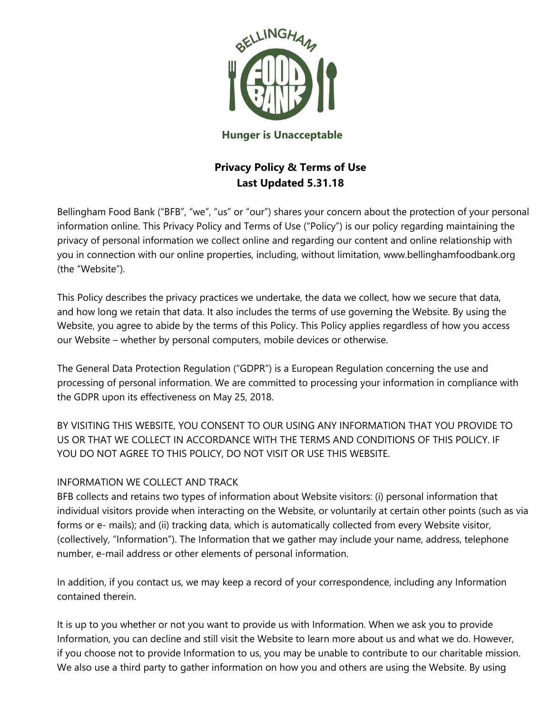

### **Hunger is Unacceptable**

# **Privacy Policy & Terms of Use Last Updated 5.31.18**

Bellingham Food Bank ("BFB", "we", "us" or "our") shares your concern about the protection of your personal information online. This Privacy Policy and Terms of Use ("Policy") is our policy regarding maintaining the privacy of personal information we collect online and regarding our content and online relationship with you in connection with our online properties, including, without limitation, www.bellinghamfoodbank.org (the "Website").

This Policy describes the privacy practices we undertake, the data we collect, how we secure that data, and how long we retain that data. It also includes the terms of use governing the Website. By using the Website, you agree to abide by the terms of this Policy. This Policy applies regardless of how you access our Website – whether by personal computers, mobile devices or otherwise.

The General Data Protection Regulation ("GDPR") is a European Regulation concerning the use and processing of personal information. We are committed to processing your information in compliance with the GDPR upon its effectiveness on May 25, 2018.

BY VISITING THIS WEBSITE, YOU CONSENT TO OUR USING ANY INFORMATION THAT YOU PROVIDE TO US OR THAT WE COLLECT IN ACCORDANCE WITH THE TERMS AND CONDITIONS OF THIS POLICY. IF YOU DO NOT AGREE TO THIS POLICY, DO NOT VISIT OR USE THIS WEBSITE.

# INFORMATION WE COLLECT AND TRACK

BFB collects and retains two types of information about Website visitors: (i) personal information that individual visitors provide when interacting on the Website, or voluntarily at certain other points (such as via forms or e- mails); and (ii) tracking data, which is automatically collected from every Website visitor, (collectively, "Information"). The Information that we gather may include your name, address, telephone number, e-mail address or other elements of personal information.

In addition, if you contact us, we may keep a record of your correspondence, including any Information contained therein.

It is up to you whether or not you want to provide us with Information. When we ask you to provide Information, you can decline and still visit the Website to learn more about us and what we do. However, if you choose not to provide Information to us, you may be unable to contribute to our charitable mission. We also use a third party to gather information on how you and others are using the Website. By using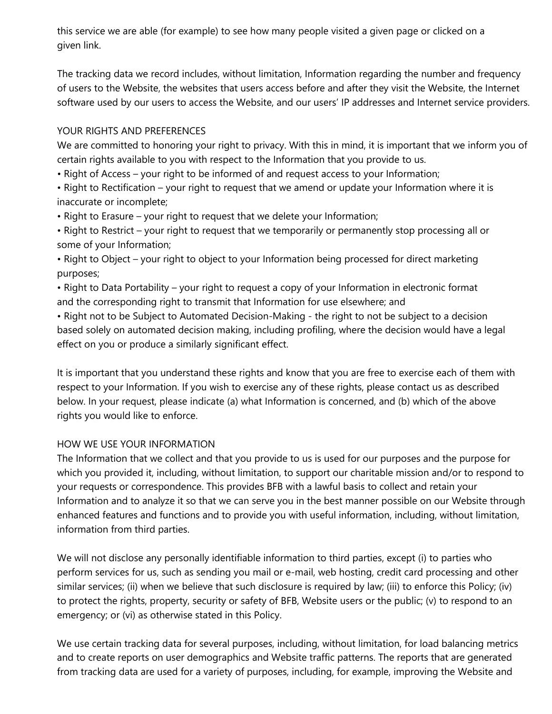this service we are able (for example) to see how many people visited a given page or clicked on a given link.

The tracking data we record includes, without limitation, Information regarding the number and frequency of users to the Website, the websites that users access before and after they visit the Website, the Internet software used by our users to access the Website, and our users' IP addresses and Internet service providers.

# YOUR RIGHTS AND PREFERENCES

We are committed to honoring your right to privacy. With this in mind, it is important that we inform you of certain rights available to you with respect to the Information that you provide to us.

• Right of Access – your right to be informed of and request access to your Information;

• Right to Rectification – your right to request that we amend or update your Information where it is inaccurate or incomplete;

• Right to Erasure – your right to request that we delete your Information;

• Right to Restrict – your right to request that we temporarily or permanently stop processing all or some of your Information;

• Right to Object – your right to object to your Information being processed for direct marketing purposes;

• Right to Data Portability – your right to request a copy of your Information in electronic format and the corresponding right to transmit that Information for use elsewhere; and

• Right not to be Subject to Automated Decision-Making - the right to not be subject to a decision based solely on automated decision making, including profiling, where the decision would have a legal effect on you or produce a similarly significant effect.

It is important that you understand these rights and know that you are free to exercise each of them with respect to your Information. If you wish to exercise any of these rights, please contact us as described below. In your request, please indicate (a) what Information is concerned, and (b) which of the above rights you would like to enforce.

# HOW WE USE YOUR INFORMATION

The Information that we collect and that you provide to us is used for our purposes and the purpose for which you provided it, including, without limitation, to support our charitable mission and/or to respond to your requests or correspondence. This provides BFB with a lawful basis to collect and retain your Information and to analyze it so that we can serve you in the best manner possible on our Website through enhanced features and functions and to provide you with useful information, including, without limitation, information from third parties.

We will not disclose any personally identifiable information to third parties, except (i) to parties who perform services for us, such as sending you mail or e-mail, web hosting, credit card processing and other similar services; (ii) when we believe that such disclosure is required by law; (iii) to enforce this Policy; (iv) to protect the rights, property, security or safety of BFB, Website users or the public; (v) to respond to an emergency; or (vi) as otherwise stated in this Policy.

We use certain tracking data for several purposes, including, without limitation, for load balancing metrics and to create reports on user demographics and Website traffic patterns. The reports that are generated from tracking data are used for a variety of purposes, including, for example, improving the Website and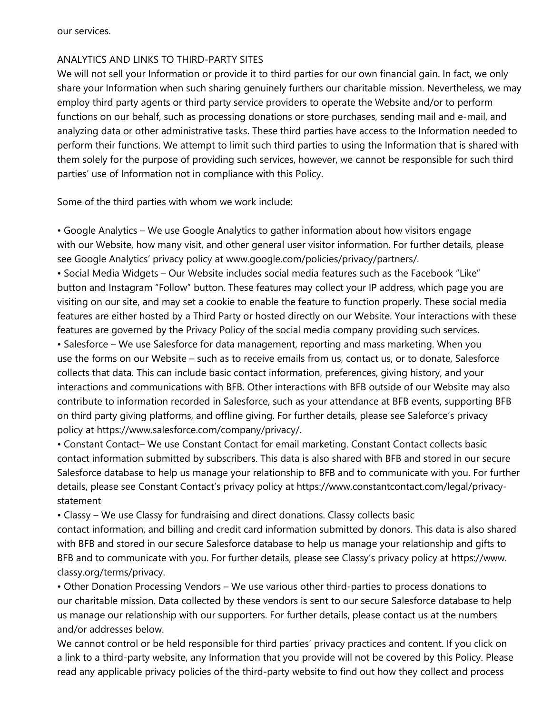our services.

# ANALYTICS AND LINKS TO THIRD-PARTY SITES

We will not sell your Information or provide it to third parties for our own financial gain. In fact, we only share your Information when such sharing genuinely furthers our charitable mission. Nevertheless, we may employ third party agents or third party service providers to operate the Website and/or to perform functions on our behalf, such as processing donations or store purchases, sending mail and e-mail, and analyzing data or other administrative tasks. These third parties have access to the Information needed to perform their functions. We attempt to limit such third parties to using the Information that is shared with them solely for the purpose of providing such services, however, we cannot be responsible for such third parties' use of Information not in compliance with this Policy.

Some of the third parties with whom we work include:

• Google Analytics – We use Google Analytics to gather information about how visitors engage with our Website, how many visit, and other general user visitor information. For further details, please see Google Analytics' privacy policy at www.google.com/policies/privacy/partners/.

• Social Media Widgets – Our Website includes social media features such as the Facebook "Like" button and Instagram "Follow" button. These features may collect your IP address, which page you are visiting on our site, and may set a cookie to enable the feature to function properly. These social media features are either hosted by a Third Party or hosted directly on our Website. Your interactions with these features are governed by the Privacy Policy of the social media company providing such services.

• Salesforce – We use Salesforce for data management, reporting and mass marketing. When you use the forms on our Website – such as to receive emails from us, contact us, or to donate, Salesforce collects that data. This can include basic contact information, preferences, giving history, and your interactions and communications with BFB. Other interactions with BFB outside of our Website may also contribute to information recorded in Salesforce, such as your attendance at BFB events, supporting BFB on third party giving platforms, and offline giving. For further details, please see Saleforce's privacy policy at https://www.salesforce.com/company/privacy/.

• Constant Contact– We use Constant Contact for email marketing. Constant Contact collects basic contact information submitted by subscribers. This data is also shared with BFB and stored in our secure Salesforce database to help us manage your relationship to BFB and to communicate with you. For further details, please see Constant Contact's privacy policy at https://www.constantcontact.com/legal/privacystatement

• Classy – We use Classy for fundraising and direct donations. Classy collects basic

contact information, and billing and credit card information submitted by donors. This data is also shared with BFB and stored in our secure Salesforce database to help us manage your relationship and gifts to BFB and to communicate with you. For further details, please see Classy's privacy policy at https://www. classy.org/terms/privacy.

• Other Donation Processing Vendors – We use various other third-parties to process donations to our charitable mission. Data collected by these vendors is sent to our secure Salesforce database to help us manage our relationship with our supporters. For further details, please contact us at the numbers and/or addresses below.

We cannot control or be held responsible for third parties' privacy practices and content. If you click on a link to a third-party website, any Information that you provide will not be covered by this Policy. Please read any applicable privacy policies of the third-party website to find out how they collect and process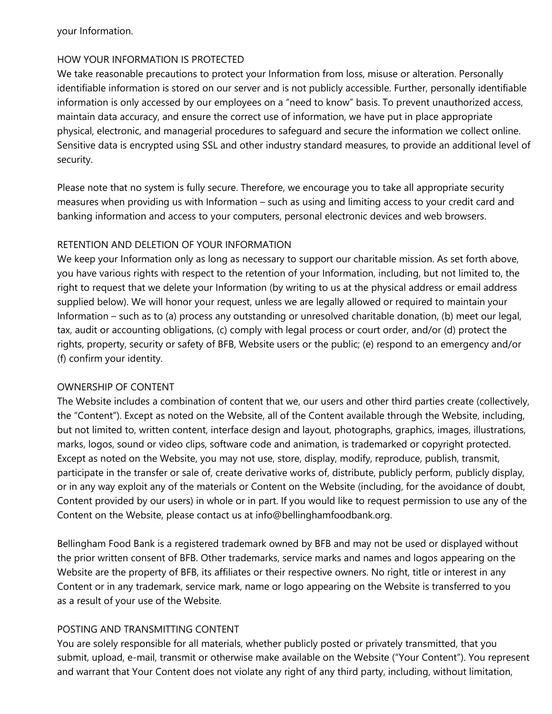your Information.

#### HOW YOUR INFORMATION IS PROTECTED

We take reasonable precautions to protect your Information from loss, misuse or alteration. Personally identifiable information is stored on our server and is not publicly accessible. Further, personally identifiable information is only accessed by our employees on a "need to know" basis. To prevent unauthorized access, maintain data accuracy, and ensure the correct use of information, we have put in place appropriate physical, electronic, and managerial procedures to safeguard and secure the information we collect online. Sensitive data is encrypted using SSL and other industry standard measures, to provide an additional level of security.

Please note that no system is fully secure. Therefore, we encourage you to take all appropriate security measures when providing us with Information – such as using and limiting access to your credit card and banking information and access to your computers, personal electronic devices and web browsers.

#### RETENTION AND DELETION OF YOUR INFORMATION

We keep your Information only as long as necessary to support our charitable mission. As set forth above, you have various rights with respect to the retention of your Information, including, but not limited to, the right to request that we delete your Information (by writing to us at the physical address or email address supplied below). We will honor your request, unless we are legally allowed or required to maintain your Information – such as to (a) process any outstanding or unresolved charitable donation, (b) meet our legal, tax, audit or accounting obligations, (c) comply with legal process or court order, and/or (d) protect the rights, property, security or safety of BFB, Website users or the public; (e) respond to an emergency and/or (f) confirm your identity.

#### OWNERSHIP OF CONTENT

The Website includes a combination of content that we, our users and other third parties create (collectively, the "Content"). Except as noted on the Website, all of the Content available through the Website, including, but not limited to, written content, interface design and layout, photographs, graphics, images, illustrations, marks, logos, sound or video clips, software code and animation, is trademarked or copyright protected. Except as noted on the Website, you may not use, store, display, modify, reproduce, publish, transmit, participate in the transfer or sale of, create derivative works of, distribute, publicly perform, publicly display, or in any way exploit any of the materials or Content on the Website (including, for the avoidance of doubt, Content provided by our users) in whole or in part. If you would like to request permission to use any of the Content on the Website, please contact us at info@bellinghamfoodbank.org.

Bellingham Food Bank is a registered trademark owned by BFB and may not be used or displayed without the prior written consent of BFB. Other trademarks, service marks and names and logos appearing on the Website are the property of BFB, its affiliates or their respective owners. No right, title or interest in any Content or in any trademark, service mark, name or logo appearing on the Website is transferred to you as a result of your use of the Website.

# POSTING AND TRANSMITTING CONTENT

You are solely responsible for all materials, whether publicly posted or privately transmitted, that you submit, upload, e-mail, transmit or otherwise make available on the Website ("Your Content"). You represent and warrant that Your Content does not violate any right of any third party, including, without limitation,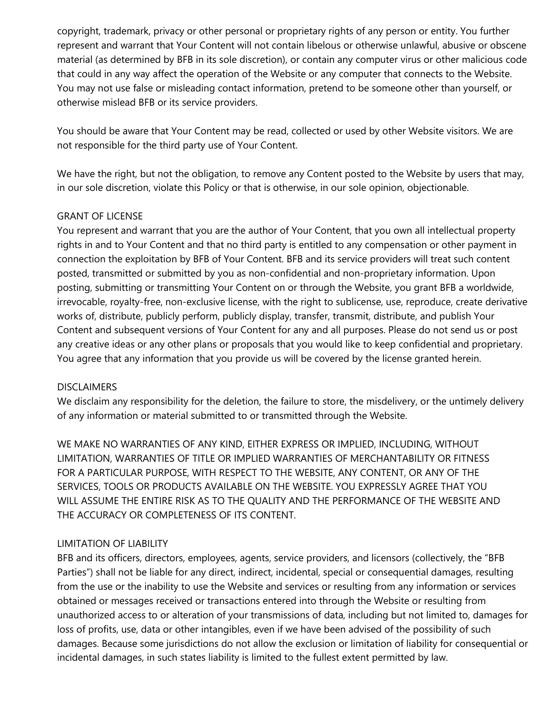copyright, trademark, privacy or other personal or proprietary rights of any person or entity. You further represent and warrant that Your Content will not contain libelous or otherwise unlawful, abusive or obscene material (as determined by BFB in its sole discretion), or contain any computer virus or other malicious code that could in any way affect the operation of the Website or any computer that connects to the Website. You may not use false or misleading contact information, pretend to be someone other than yourself, or otherwise mislead BFB or its service providers.

You should be aware that Your Content may be read, collected or used by other Website visitors. We are not responsible for the third party use of Your Content.

We have the right, but not the obligation, to remove any Content posted to the Website by users that may, in our sole discretion, violate this Policy or that is otherwise, in our sole opinion, objectionable.

# GRANT OF LICENSE

You represent and warrant that you are the author of Your Content, that you own all intellectual property rights in and to Your Content and that no third party is entitled to any compensation or other payment in connection the exploitation by BFB of Your Content. BFB and its service providers will treat such content posted, transmitted or submitted by you as non-confidential and non-proprietary information. Upon posting, submitting or transmitting Your Content on or through the Website, you grant BFB a worldwide, irrevocable, royalty-free, non-exclusive license, with the right to sublicense, use, reproduce, create derivative works of, distribute, publicly perform, publicly display, transfer, transmit, distribute, and publish Your Content and subsequent versions of Your Content for any and all purposes. Please do not send us or post any creative ideas or any other plans or proposals that you would like to keep confidential and proprietary. You agree that any information that you provide us will be covered by the license granted herein.

# DISCLAIMERS

We disclaim any responsibility for the deletion, the failure to store, the misdelivery, or the untimely delivery of any information or material submitted to or transmitted through the Website.

WE MAKE NO WARRANTIES OF ANY KIND, EITHER EXPRESS OR IMPLIED, INCLUDING, WITHOUT LIMITATION, WARRANTIES OF TITLE OR IMPLIED WARRANTIES OF MERCHANTABILITY OR FITNESS FOR A PARTICULAR PURPOSE, WITH RESPECT TO THE WEBSITE, ANY CONTENT, OR ANY OF THE SERVICES, TOOLS OR PRODUCTS AVAILABLE ON THE WEBSITE. YOU EXPRESSLY AGREE THAT YOU WILL ASSUME THE ENTIRE RISK AS TO THE QUALITY AND THE PERFORMANCE OF THE WEBSITE AND THE ACCURACY OR COMPLETENESS OF ITS CONTENT.

# LIMITATION OF LIABILITY

BFB and its officers, directors, employees, agents, service providers, and licensors (collectively, the "BFB Parties") shall not be liable for any direct, indirect, incidental, special or consequential damages, resulting from the use or the inability to use the Website and services or resulting from any information or services obtained or messages received or transactions entered into through the Website or resulting from unauthorized access to or alteration of your transmissions of data, including but not limited to, damages for loss of profits, use, data or other intangibles, even if we have been advised of the possibility of such damages. Because some jurisdictions do not allow the exclusion or limitation of liability for consequential or incidental damages, in such states liability is limited to the fullest extent permitted by law.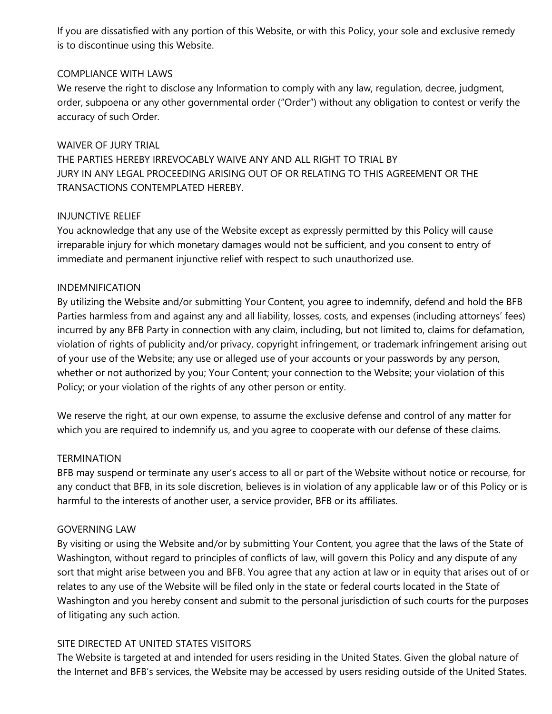If you are dissatisfied with any portion of this Website, or with this Policy, your sole and exclusive remedy is to discontinue using this Website.

### COMPLIANCE WITH LAWS

We reserve the right to disclose any Information to comply with any law, regulation, decree, judgment, order, subpoena or any other governmental order ("Order") without any obligation to contest or verify the accuracy of such Order.

#### WAIVER OF JURY TRIAL

THE PARTIES HEREBY IRREVOCABLY WAIVE ANY AND ALL RIGHT TO TRIAL BY JURY IN ANY LEGAL PROCEEDING ARISING OUT OF OR RELATING TO THIS AGREEMENT OR THE TRANSACTIONS CONTEMPLATED HEREBY.

#### INJUNCTIVE RELIEF

You acknowledge that any use of the Website except as expressly permitted by this Policy will cause irreparable injury for which monetary damages would not be sufficient, and you consent to entry of immediate and permanent injunctive relief with respect to such unauthorized use.

#### INDEMNIFICATION

By utilizing the Website and/or submitting Your Content, you agree to indemnify, defend and hold the BFB Parties harmless from and against any and all liability, losses, costs, and expenses (including attorneys' fees) incurred by any BFB Party in connection with any claim, including, but not limited to, claims for defamation, violation of rights of publicity and/or privacy, copyright infringement, or trademark infringement arising out of your use of the Website; any use or alleged use of your accounts or your passwords by any person, whether or not authorized by you; Your Content; your connection to the Website; your violation of this Policy; or your violation of the rights of any other person or entity.

We reserve the right, at our own expense, to assume the exclusive defense and control of any matter for which you are required to indemnify us, and you agree to cooperate with our defense of these claims.

#### TERMINATION

BFB may suspend or terminate any user's access to all or part of the Website without notice or recourse, for any conduct that BFB, in its sole discretion, believes is in violation of any applicable law or of this Policy or is harmful to the interests of another user, a service provider, BFB or its affiliates.

#### GOVERNING LAW

By visiting or using the Website and/or by submitting Your Content, you agree that the laws of the State of Washington, without regard to principles of conflicts of law, will govern this Policy and any dispute of any sort that might arise between you and BFB. You agree that any action at law or in equity that arises out of or relates to any use of the Website will be filed only in the state or federal courts located in the State of Washington and you hereby consent and submit to the personal jurisdiction of such courts for the purposes of litigating any such action.

#### SITE DIRECTED AT UNITED STATES VISITORS

The Website is targeted at and intended for users residing in the United States. Given the global nature of the Internet and BFB's services, the Website may be accessed by users residing outside of the United States.